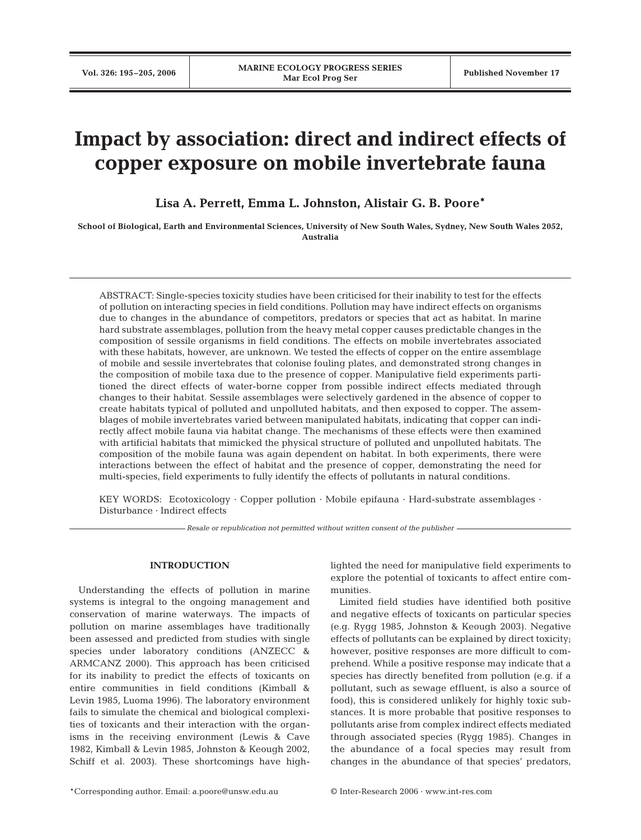# **Impact by association: direct and indirect effects of copper exposure on mobile invertebrate fauna**

**Lisa A. Perrett, Emma L. Johnston, Alistair G. B. Poore\***

**School of Biological, Earth and Environmental Sciences, University of New South Wales, Sydney, New South Wales 2052, Australia**

ABSTRACT: Single-species toxicity studies have been criticised for their inability to test for the effects of pollution on interacting species in field conditions. Pollution may have indirect effects on organisms due to changes in the abundance of competitors, predators or species that act as habitat. In marine hard substrate assemblages, pollution from the heavy metal copper causes predictable changes in the composition of sessile organisms in field conditions. The effects on mobile invertebrates associated with these habitats, however, are unknown. We tested the effects of copper on the entire assemblage of mobile and sessile invertebrates that colonise fouling plates, and demonstrated strong changes in the composition of mobile taxa due to the presence of copper. Manipulative field experiments partitioned the direct effects of water-borne copper from possible indirect effects mediated through changes to their habitat. Sessile assemblages were selectively gardened in the absence of copper to create habitats typical of polluted and unpolluted habitats, and then exposed to copper. The assemblages of mobile invertebrates varied between manipulated habitats, indicating that copper can indirectly affect mobile fauna via habitat change. The mechanisms of these effects were then examined with artificial habitats that mimicked the physical structure of polluted and unpolluted habitats. The composition of the mobile fauna was again dependent on habitat. In both experiments, there were interactions between the effect of habitat and the presence of copper, demonstrating the need for multi-species, field experiments to fully identify the effects of pollutants in natural conditions.

KEY WORDS: Ecotoxicology · Copper pollution · Mobile epifauna · Hard-substrate assemblages · Disturbance · Indirect effects

*Resale or republication not permitted without written consent of the publisher*

# **INTRODUCTION**

Understanding the effects of pollution in marine systems is integral to the ongoing management and conservation of marine waterways. The impacts of pollution on marine assemblages have traditionally been assessed and predicted from studies with single species under laboratory conditions (ANZECC & ARMCANZ 2000). This approach has been criticised for its inability to predict the effects of toxicants on entire communities in field conditions (Kimball & Levin 1985, Luoma 1996). The laboratory environment fails to simulate the chemical and biological complexities of toxicants and their interaction with the organisms in the receiving environment (Lewis & Cave 1982, Kimball & Levin 1985, Johnston & Keough 2002, Schiff et al. 2003). These shortcomings have highlighted the need for manipulative field experiments to explore the potential of toxicants to affect entire communities.

Limited field studies have identified both positive and negative effects of toxicants on particular species (e.g. Rygg 1985, Johnston & Keough 2003). Negative effects of pollutants can be explained by direct toxicity; however, positive responses are more difficult to comprehend. While a positive response may indicate that a species has directly benefited from pollution (e.g. if a pollutant, such as sewage effluent, is also a source of food), this is considered unlikely for highly toxic substances. It is more probable that positive responses to pollutants arise from complex indirect effects mediated through associated species (Rygg 1985). Changes in the abundance of a focal species may result from changes in the abundance of that species' predators,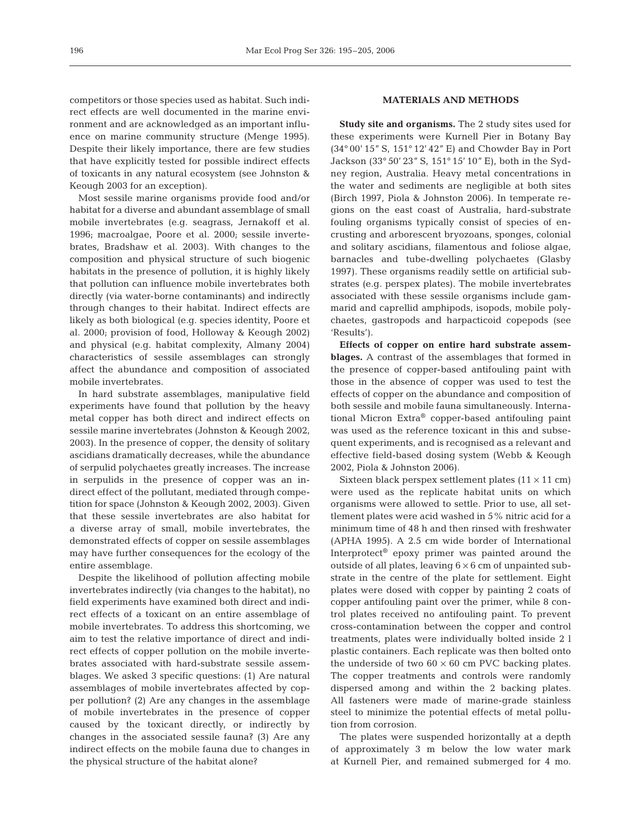competitors or those species used as habitat. Such indirect effects are well documented in the marine environment and are acknowledged as an important influence on marine community structure (Menge 1995). Despite their likely importance, there are few studies that have explicitly tested for possible indirect effects of toxicants in any natural ecosystem (see Johnston & Keough 2003 for an exception).

Most sessile marine organisms provide food and/or habitat for a diverse and abundant assemblage of small mobile invertebrates (e.g. seagrass, Jernakoff et al. 1996; macroalgae, Poore et al. 2000; sessile invertebrates, Bradshaw et al. 2003). With changes to the composition and physical structure of such biogenic habitats in the presence of pollution, it is highly likely that pollution can influence mobile invertebrates both directly (via water-borne contaminants) and indirectly through changes to their habitat. Indirect effects are likely as both biological (e.g. species identity, Poore et al. 2000; provision of food, Holloway & Keough 2002) and physical (e.g. habitat complexity, Almany 2004) characteristics of sessile assemblages can strongly affect the abundance and composition of associated mobile invertebrates.

In hard substrate assemblages, manipulative field experiments have found that pollution by the heavy metal copper has both direct and indirect effects on sessile marine invertebrates (Johnston & Keough 2002, 2003). In the presence of copper, the density of solitary ascidians dramatically decreases, while the abundance of serpulid polychaetes greatly increases. The increase in serpulids in the presence of copper was an indirect effect of the pollutant, mediated through competition for space (Johnston & Keough 2002, 2003). Given that these sessile invertebrates are also habitat for a diverse array of small, mobile invertebrates, the demonstrated effects of copper on sessile assemblages may have further consequences for the ecology of the entire assemblage.

Despite the likelihood of pollution affecting mobile invertebrates indirectly (via changes to the habitat), no field experiments have examined both direct and indirect effects of a toxicant on an entire assemblage of mobile invertebrates. To address this shortcoming, we aim to test the relative importance of direct and indirect effects of copper pollution on the mobile invertebrates associated with hard-substrate sessile assemblages. We asked 3 specific questions: (1) Are natural assemblages of mobile invertebrates affected by copper pollution? (2) Are any changes in the assemblage of mobile invertebrates in the presence of copper caused by the toxicant directly, or indirectly by changes in the associated sessile fauna? (3) Are any indirect effects on the mobile fauna due to changes in the physical structure of the habitat alone?

# **MATERIALS AND METHODS**

**Study site and organisms.** The 2 study sites used for these experiments were Kurnell Pier in Botany Bay (34° 00' 15" S, 151° 12' 42" E) and Chowder Bay in Port Jackson (33° 50' 23" S, 151° 15' 10" E), both in the Sydney region, Australia. Heavy metal concentrations in the water and sediments are negligible at both sites (Birch 1997, Piola & Johnston 2006). In temperate regions on the east coast of Australia, hard-substrate fouling organisms typically consist of species of encrusting and arborescent bryozoans, sponges, colonial and solitary ascidians, filamentous and foliose algae, barnacles and tube-dwelling polychaetes (Glasby 1997). These organisms readily settle on artificial substrates (e.g. perspex plates). The mobile invertebrates associated with these sessile organisms include gammarid and caprellid amphipods, isopods, mobile polychaetes, gastropods and harpacticoid copepods (see 'Results').

**Effects of copper on entire hard substrate assemblages.** A contrast of the assemblages that formed in the presence of copper-based antifouling paint with those in the absence of copper was used to test the effects of copper on the abundance and composition of both sessile and mobile fauna simultaneously. International Micron Extra® copper-based antifouling paint was used as the reference toxicant in this and subsequent experiments, and is recognised as a relevant and effective field-based dosing system (Webb & Keough 2002, Piola & Johnston 2006).

Sixteen black perspex settlement plates  $(11 \times 11 \text{ cm})$ were used as the replicate habitat units on which organisms were allowed to settle. Prior to use, all settlement plates were acid washed in 5% nitric acid for a minimum time of 48 h and then rinsed with freshwater (APHA 1995). A 2.5 cm wide border of International Interprotect® epoxy primer was painted around the outside of all plates, leaving  $6 \times 6$  cm of unpainted substrate in the centre of the plate for settlement. Eight plates were dosed with copper by painting 2 coats of copper antifouling paint over the primer, while 8 control plates received no antifouling paint. To prevent cross-contamination between the copper and control treatments, plates were individually bolted inside 2 l plastic containers. Each replicate was then bolted onto the underside of two  $60 \times 60$  cm PVC backing plates. The copper treatments and controls were randomly dispersed among and within the 2 backing plates. All fasteners were made of marine-grade stainless steel to minimize the potential effects of metal pollution from corrosion.

The plates were suspended horizontally at a depth of approximately 3 m below the low water mark at Kurnell Pier, and remained submerged for 4 mo.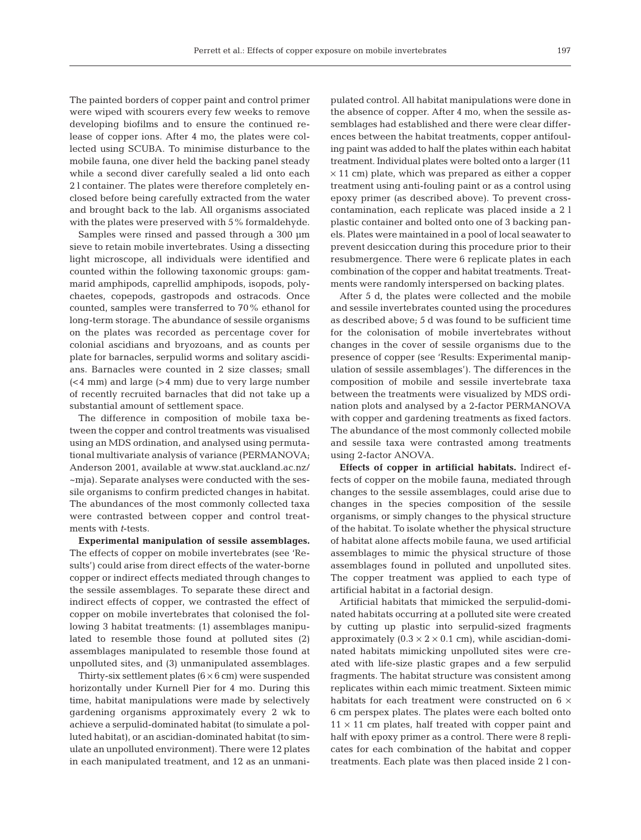The painted borders of copper paint and control primer were wiped with scourers every few weeks to remove developing biofilms and to ensure the continued release of copper ions. After 4 mo, the plates were collected using SCUBA. To minimise disturbance to the mobile fauna, one diver held the backing panel steady while a second diver carefully sealed a lid onto each 2 l container. The plates were therefore completely enclosed before being carefully extracted from the water and brought back to the lab. All organisms associated with the plates were preserved with 5% formaldehyde.

Samples were rinsed and passed through a 300 µm sieve to retain mobile invertebrates. Using a dissecting light microscope, all individuals were identified and counted within the following taxonomic groups: gammarid amphipods, caprellid amphipods, isopods, polychaetes, copepods, gastropods and ostracods. Once counted, samples were transferred to 70% ethanol for long-term storage. The abundance of sessile organisms on the plates was recorded as percentage cover for colonial ascidians and bryozoans, and as counts per plate for barnacles, serpulid worms and solitary ascidians. Barnacles were counted in 2 size classes; small (<4 mm) and large (>4 mm) due to very large number of recently recruited barnacles that did not take up a substantial amount of settlement space.

The difference in composition of mobile taxa between the copper and control treatments was visualised using an MDS ordination, and analysed using permutational multivariate analysis of variance (PERMANOVA; Anderson 2001, available at www.stat.auckland.ac.nz/ ~mja). Separate analyses were conducted with the sessile organisms to confirm predicted changes in habitat. The abundances of the most commonly collected taxa were contrasted between copper and control treatments with *t*-tests.

**Experimental manipulation of sessile assemblages.** The effects of copper on mobile invertebrates (see 'Results') could arise from direct effects of the water-borne copper or indirect effects mediated through changes to the sessile assemblages. To separate these direct and indirect effects of copper, we contrasted the effect of copper on mobile invertebrates that colonised the following 3 habitat treatments: (1) assemblages manipulated to resemble those found at polluted sites (2) assemblages manipulated to resemble those found at unpolluted sites, and (3) unmanipulated assemblages.

Thirty-six settlement plates  $(6 \times 6$  cm) were suspended horizontally under Kurnell Pier for 4 mo. During this time, habitat manipulations were made by selectively gardening organisms approximately every 2 wk to achieve a serpulid-dominated habitat (to simulate a polluted habitat), or an ascidian-dominated habitat (to simulate an unpolluted environment). There were 12 plates in each manipulated treatment, and 12 as an unmani-

pulated control. All habitat manipulations were done in the absence of copper. After 4 mo, when the sessile assemblages had established and there were clear differences between the habitat treatments, copper antifouling paint was added to half the plates within each habitat treatment. Individual plates were bolted onto a larger (11  $\times$  11 cm) plate, which was prepared as either a copper treatment using anti-fouling paint or as a control using epoxy primer (as described above). To prevent crosscontamination, each replicate was placed inside a 2 l plastic container and bolted onto one of 3 backing panels. Plates were maintained in a pool of local seawater to prevent desiccation during this procedure prior to their resubmergence. There were 6 replicate plates in each combination of the copper and habitat treatments. Treatments were randomly interspersed on backing plates.

After 5 d, the plates were collected and the mobile and sessile invertebrates counted using the procedures as described above; 5 d was found to be sufficient time for the colonisation of mobile invertebrates without changes in the cover of sessile organisms due to the presence of copper (see 'Results: Experimental manipulation of sessile assemblages'). The differences in the composition of mobile and sessile invertebrate taxa between the treatments were visualized by MDS ordination plots and analysed by a 2-factor PERMANOVA with copper and gardening treatments as fixed factors. The abundance of the most commonly collected mobile and sessile taxa were contrasted among treatments using 2-factor ANOVA.

**Effects of copper in artificial habitats.** Indirect effects of copper on the mobile fauna, mediated through changes to the sessile assemblages, could arise due to changes in the species composition of the sessile organisms, or simply changes to the physical structure of the habitat. To isolate whether the physical structure of habitat alone affects mobile fauna, we used artificial assemblages to mimic the physical structure of those assemblages found in polluted and unpolluted sites. The copper treatment was applied to each type of artificial habitat in a factorial design.

Artificial habitats that mimicked the serpulid-dominated habitats occurring at a polluted site were created by cutting up plastic into serpulid-sized fragments approximately  $(0.3 \times 2 \times 0.1 \text{ cm})$ , while ascidian-dominated habitats mimicking unpolluted sites were created with life-size plastic grapes and a few serpulid fragments. The habitat structure was consistent among replicates within each mimic treatment. Sixteen mimic habitats for each treatment were constructed on 6  $\times$ 6 cm perspex plates. The plates were each bolted onto  $11 \times 11$  cm plates, half treated with copper paint and half with epoxy primer as a control. There were 8 replicates for each combination of the habitat and copper treatments. Each plate was then placed inside 2 l con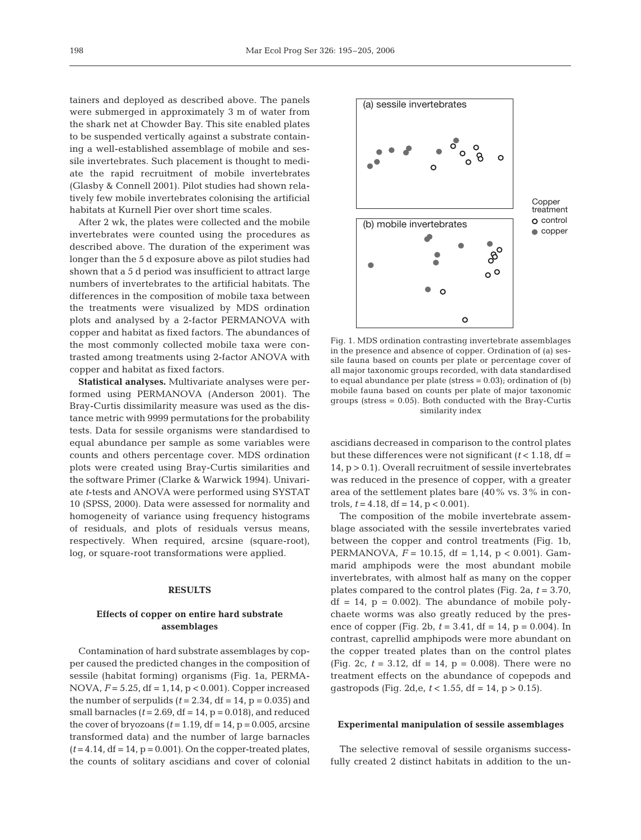tainers and deployed as described above. The panels were submerged in approximately 3 m of water from the shark net at Chowder Bay. This site enabled plates to be suspended vertically against a substrate containing a well-established assemblage of mobile and sessile invertebrates. Such placement is thought to mediate the rapid recruitment of mobile invertebrates (Glasby & Connell 2001). Pilot studies had shown relatively few mobile invertebrates colonising the artificial habitats at Kurnell Pier over short time scales.

After 2 wk, the plates were collected and the mobile invertebrates were counted using the procedures as described above. The duration of the experiment was longer than the 5 d exposure above as pilot studies had shown that a 5 d period was insufficient to attract large numbers of invertebrates to the artificial habitats. The differences in the composition of mobile taxa between the treatments were visualized by MDS ordination plots and analysed by a 2-factor PERMANOVA with copper and habitat as fixed factors. The abundances of the most commonly collected mobile taxa were contrasted among treatments using 2-factor ANOVA with copper and habitat as fixed factors.

**Statistical analyses.** Multivariate analyses were performed using PERMANOVA (Anderson 2001). The Bray-Curtis dissimilarity measure was used as the distance metric with 9999 permutations for the probability tests. Data for sessile organisms were standardised to equal abundance per sample as some variables were counts and others percentage cover. MDS ordination plots were created using Bray-Curtis similarities and the software Primer (Clarke & Warwick 1994). Univariate *t*-tests and ANOVA were performed using SYSTAT 10 (SPSS, 2000). Data were assessed for normality and homogeneity of variance using frequency histograms of residuals, and plots of residuals versus means, respectively. When required, arcsine (square-root), log, or square-root transformations were applied.

#### **RESULTS**

# **Effects of copper on entire hard substrate assemblages**

Contamination of hard substrate assemblages by copper caused the predicted changes in the composition of sessile (habitat forming) organisms (Fig. 1a, PERMA-NOVA, *F* = 5.25, df = 1,14, p < 0.001). Copper increased the number of serpulids  $(t = 2.34, df = 14, p = 0.035)$  and small barnacles  $(t = 2.69, df = 14, p = 0.018)$ , and reduced the cover of bryozoans  $(t = 1.19, df = 14, p = 0.005, arcsine$ transformed data) and the number of large barnacles  $(t=4.14, df=14, p=0.001)$ . On the copper-treated plates, the counts of solitary ascidians and cover of colonial



Fig. 1. MDS ordination contrasting invertebrate assemblages in the presence and absence of copper. Ordination of (a) sessile fauna based on counts per plate or percentage cover of all major taxonomic groups recorded, with data standardised to equal abundance per plate (stress  $= 0.03$ ); ordination of (b) mobile fauna based on counts per plate of major taxonomic groups (stress = 0.05). Both conducted with the Bray-Curtis similarity index

ascidians decreased in comparison to the control plates but these differences were not significant  $(t < 1.18$ , df =  $14$ ,  $p > 0.1$ ). Overall recruitment of sessile invertebrates was reduced in the presence of copper, with a greater area of the settlement plates bare (40% vs. 3% in controls,  $t = 4.18$ , df = 14, p < 0.001).

The composition of the mobile invertebrate assemblage associated with the sessile invertebrates varied between the copper and control treatments (Fig. 1b, PERMANOVA, *F* = 10.15, df = 1,14, p < 0.001). Gammarid amphipods were the most abundant mobile invertebrates, with almost half as many on the copper plates compared to the control plates (Fig. 2a, *t* = 3.70,  $df = 14$ ,  $p = 0.002$ . The abundance of mobile polychaete worms was also greatly reduced by the presence of copper (Fig. 2b,  $t = 3.41$ , df = 14, p = 0.004). In contrast, caprellid amphipods were more abundant on the copper treated plates than on the control plates (Fig. 2c,  $t = 3.12$ , df = 14,  $p = 0.008$ ). There were no treatment effects on the abundance of copepods and gastropods (Fig. 2d,e,  $t < 1.55$ , df = 14, p > 0.15).

#### **Experimental manipulation of sessile assemblages**

The selective removal of sessile organisms successfully created 2 distinct habitats in addition to the un-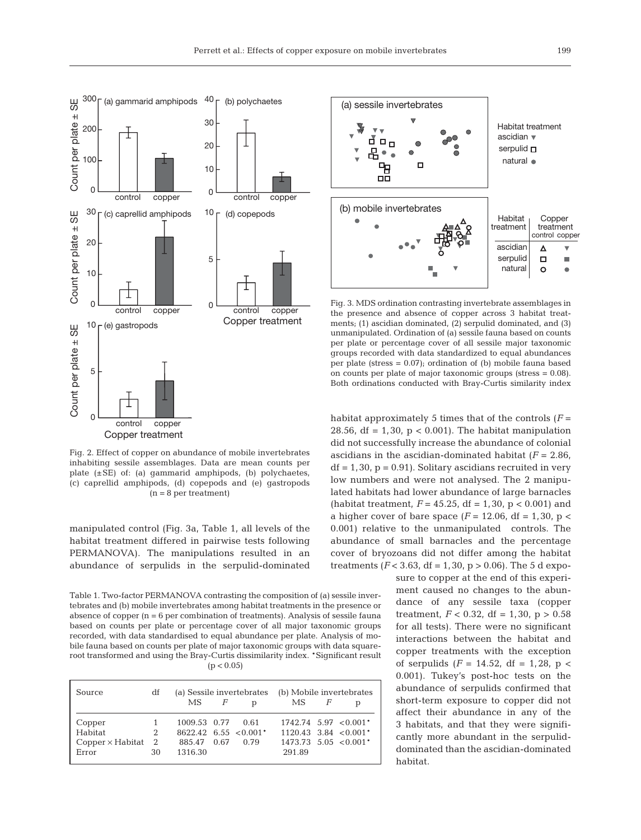

Fig. 2. Effect of copper on abundance of mobile invertebrates inhabiting sessile assemblages. Data are mean counts per plate (±SE) of: (a) gammarid amphipods, (b) polychaetes, (c) caprellid amphipods, (d) copepods and (e) gastropods (n = 8 per treatment)

manipulated control (Fig. 3a, Table 1, all levels of the habitat treatment differed in pairwise tests following PERMANOVA). The manipulations resulted in an abundance of serpulids in the serpulid-dominated

Table 1. Two-factor PERMANOVA contrasting the composition of (a) sessile invertebrates and (b) mobile invertebrates among habitat treatments in the presence or absence of copper (n = 6 per combination of treatments). Analysis of sessile fauna based on counts per plate or percentage cover of all major taxonomic groups recorded, with data standardised to equal abundance per plate. Analysis of mobile fauna based on counts per plate of major taxonomic groups with data squareroot transformed and using the Bray-Curtis dissimilarity index. \*Significant result  $(p < 0.05)$ 

| Source                    | df | $MS$ $F$          |                                   | (a) Sessile invertebrates (b) Mobile invertebrates<br>$MS$ $F$ |  |                                     |  |  |  |  |
|---------------------------|----|-------------------|-----------------------------------|----------------------------------------------------------------|--|-------------------------------------|--|--|--|--|
|                           |    |                   | <sup>n</sup>                      |                                                                |  |                                     |  |  |  |  |
| Copper                    |    | 1009.53 0.77 0.61 |                                   |                                                                |  | $1742.74$ 5.97 < 0.001 <sup>*</sup> |  |  |  |  |
| Habitat                   | 2  |                   | $8622.42 \quad 6.55 \quad 0.001*$ |                                                                |  | $1120.43$ 3.84 < 0.001 <sup>*</sup> |  |  |  |  |
| $Copper \times Habitat$ 2 |    | 885.47 0.67       | 0.79                              | $1473.73$ 5.05 < 0.001 <sup>*</sup>                            |  |                                     |  |  |  |  |
| Error                     | 30 | 1316.30           |                                   | 291.89                                                         |  |                                     |  |  |  |  |



Fig. 3. MDS ordination contrasting invertebrate assemblages in the presence and absence of copper across 3 habitat treatments; (1) ascidian dominated, (2) serpulid dominated, and (3) unmanipulated. Ordination of (a) sessile fauna based on counts per plate or percentage cover of all sessile major taxonomic groups recorded with data standardized to equal abundances per plate (stress = 0.07); ordination of (b) mobile fauna based on counts per plate of major taxonomic groups (stress = 0.08). Both ordinations conducted with Bray-Curtis similarity index

habitat approximately 5 times that of the controls (*F* = 28.56, df = 1,30,  $p < 0.001$ ). The habitat manipulation did not successfully increase the abundance of colonial ascidians in the ascidian-dominated habitat  $(F = 2.86)$ ,  $df = 1,30, p = 0.91$ . Solitary ascidians recruited in very low numbers and were not analysed. The 2 manipulated habitats had lower abundance of large barnacles (habitat treatment,  $F = 45.25$ , df = 1,30, p < 0.001) and a higher cover of bare space  $(F = 12.06, df = 1,30, p <$ 0.001) relative to the unmanipulated controls. The abundance of small barnacles and the percentage cover of bryozoans did not differ among the habitat treatments  $(F < 3.63$ , df = 1,30, p > 0.06). The 5 d expo-

> sure to copper at the end of this experiment caused no changes to the abundance of any sessile taxa (copper treatment,  $F < 0.32$ , df = 1,30, p > 0.58 for all tests). There were no significant interactions between the habitat and copper treatments with the exception of serpulids  $(F = 14.52, df = 1,28, p <$ 0.001). Tukey's post-hoc tests on the abundance of serpulids confirmed that short-term exposure to copper did not affect their abundance in any of the 3 habitats, and that they were significantly more abundant in the serpuliddominated than the ascidian-dominated habitat.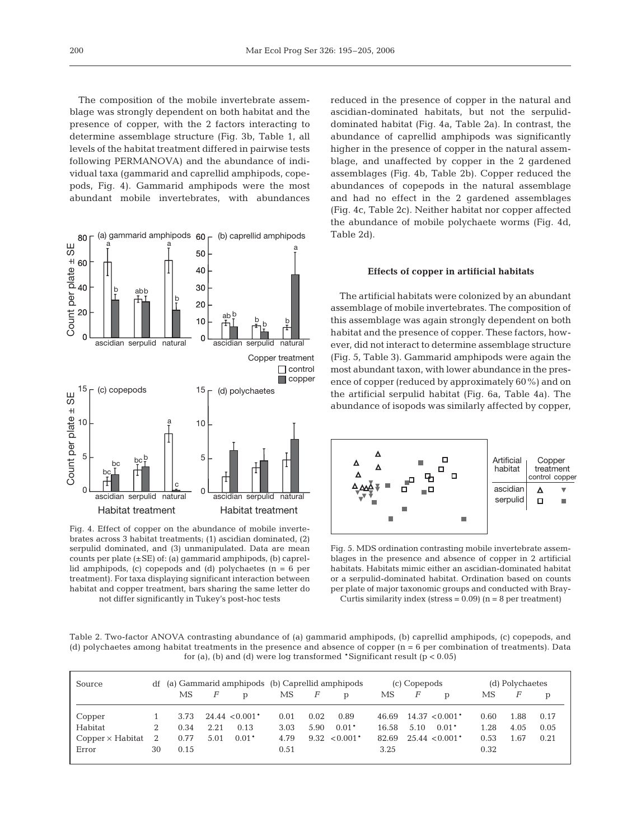The composition of the mobile invertebrate assemblage was strongly dependent on both habitat and the presence of copper, with the 2 factors interacting to determine assemblage structure (Fig. 3b, Table 1, all levels of the habitat treatment differed in pairwise tests following PERMANOVA) and the abundance of individual taxa (gammarid and caprellid amphipods, copepods, Fig. 4). Gammarid amphipods were the most abundant mobile invertebrates, with abundances



Fig. 4. Effect of copper on the abundance of mobile invertebrates across 3 habitat treatments; (1) ascidian dominated, (2) serpulid dominated, and (3) unmanipulated. Data are mean counts per plate  $(\pm SE)$  of: (a) gammarid amphipods, (b) caprellid amphipods, (c) copepods and (d) polychaetes ( $n = 6$  per treatment). For taxa displaying significant interaction between habitat and copper treatment, bars sharing the same letter do not differ significantly in Tukey's post-hoc tests

reduced in the presence of copper in the natural and ascidian-dominated habitats, but not the serpuliddominated habitat (Fig. 4a, Table 2a). In contrast, the abundance of caprellid amphipods was significantly higher in the presence of copper in the natural assemblage, and unaffected by copper in the 2 gardened assemblages (Fig. 4b, Table 2b). Copper reduced the abundances of copepods in the natural assemblage and had no effect in the 2 gardened assemblages (Fig. 4c, Table 2c). Neither habitat nor copper affected the abundance of mobile polychaete worms (Fig. 4d, Table 2d).

#### **Effects of copper in artificial habitats**

The artificial habitats were colonized by an abundant assemblage of mobile invertebrates. The composition of this assemblage was again strongly dependent on both habitat and the presence of copper. These factors, however, did not interact to determine assemblage structure (Fig. 5, Table 3). Gammarid amphipods were again the most abundant taxon, with lower abundance in the presence of copper (reduced by approximately 60%) and on the artificial serpulid habitat (Fig. 6a, Table 4a). The abundance of isopods was similarly affected by copper,



Fig. 5. MDS ordination contrasting mobile invertebrate assemblages in the presence and absence of copper in 2 artificial habitats. Habitats mimic either an ascidian-dominated habitat or a serpulid-dominated habitat. Ordination based on counts per plate of major taxonomic groups and conducted with Bray-Curtis similarity index (stress =  $0.09$ ) (n = 8 per treatment)

Table 2. Two-factor ANOVA contrasting abundance of (a) gammarid amphipods, (b) caprellid amphipods, (c) copepods, and (d) polychaetes among habitat treatments in the presence and absence of copper  $(n = 6$  per combination of treatments). Data for (a), (b) and (d) were log transformed \*Significant result ( $p < 0.05$ )

| Source                  |    | df (a) Gammarid amphipods (b) Caprellid amphipods |                |                                |      |                |                   |       | (c) Copepods |                    | (d) Polychaetes |      |      |  |
|-------------------------|----|---------------------------------------------------|----------------|--------------------------------|------|----------------|-------------------|-------|--------------|--------------------|-----------------|------|------|--|
|                         |    | MS -                                              | $\overline{F}$ | $\mathbf{D}$                   | MS.  | $\overline{F}$ | D                 | MS.   | F            | D                  | МS              | F    |      |  |
| Copper                  |    | 3.73                                              |                | $24.44 \le 0.001$ <sup>*</sup> | 0.01 | 0.02           | 0.89              | 46.69 |              | $14.37 \le 0.001*$ | 0.60            | 1.88 | 0.17 |  |
| Habitat                 |    | 0.34                                              | 2.21           | 0.13                           | 3.03 | 5.90           | $0.01*$           | 16.58 | 5.10         | $0.01*$            | 1.28            | 4.05 | 0.05 |  |
| $Copper \times Habitat$ |    | 0.77                                              | 5.01           | $0.01*$                        | 4.79 |                | $9.32 \le 0.001*$ | 82.69 |              | $25.44 \le 0.001*$ | 0.53            | 1.67 | 0.21 |  |
| Error                   | 30 | 0.15                                              |                |                                | 0.51 |                |                   | 3.25  |              |                    | 0.32            |      |      |  |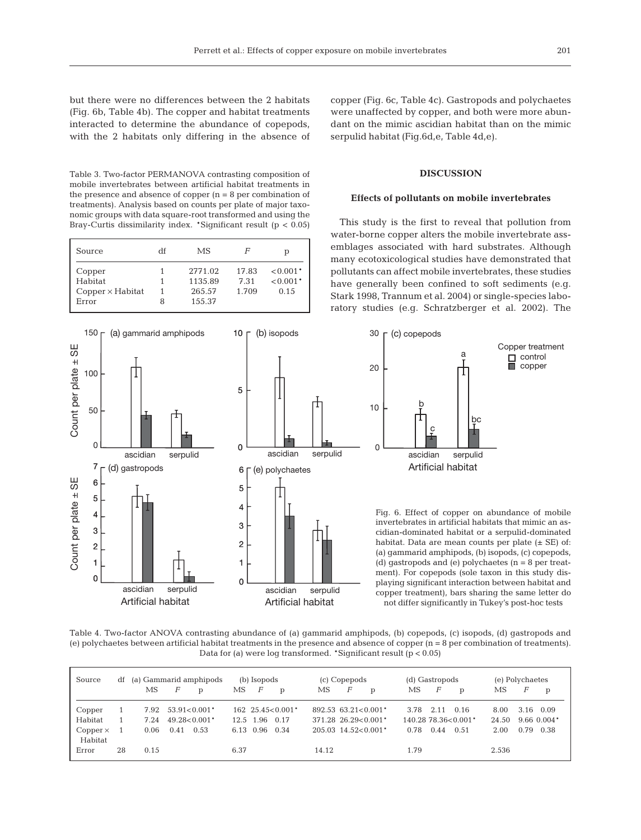but there were no differences between the 2 habitats (Fig. 6b, Table 4b). The copper and habitat treatments interacted to determine the abundance of copepods, with the 2 habitats only differing in the absence of

Table 3. Two-factor PERMANOVA contrasting composition of mobile invertebrates between artificial habitat treatments in the presence and absence of copper  $(n = 8$  per combination of treatments). Analysis based on counts per plate of major taxonomic groups with data square-root transformed and using the Bray-Curtis dissimilarity index. \*Significant result (p < 0.05)

| Source                  | df | MS.     | F     | р          |
|-------------------------|----|---------|-------|------------|
| Copper                  |    | 2771.02 | 17.83 | $< 0.001*$ |
| Habitat                 |    | 1135.89 | 7.31  | $< 0.001*$ |
| $Copper \times Habitat$ |    | 265.57  | 1.709 | 0.15       |
| Error                   | 8  | 155.37  |       |            |



copper (Fig. 6c, Table 4c). Gastropods and polychaetes were unaffected by copper, and both were more abundant on the mimic ascidian habitat than on the mimic serpulid habitat (Fig.6d,e, Table 4d,e).

# **DISCUSSION**

## **Effects of pollutants on mobile invertebrates**

This study is the first to reveal that pollution from water-borne copper alters the mobile invertebrate assemblages associated with hard substrates. Although many ecotoxicological studies have demonstrated that pollutants can affect mobile invertebrates, these studies have generally been confined to soft sediments (e.g. Stark 1998, Trannum et al. 2004) or single-species laboratory studies (e.g. Schratzberger et al. 2002). The



Table 4. Two-factor ANOVA contrasting abundance of (a) gammarid amphipods, (b) copepods, (c) isopods, (d) gastropods and (e) polychaetes between artificial habitat treatments in the presence and absence of copper (n = 8 per combination of treatments). Data for (a) were log transformed. \*Significant result (p < 0.05)

| Source                     | df | (a) Gammarid amphipods |      |                    | (b) Isopods |                | (c) Copepods                             |                                     |                | (d) Gastropods                      |      |      | (e) Polychaetes     |       |      |                 |
|----------------------------|----|------------------------|------|--------------------|-------------|----------------|------------------------------------------|-------------------------------------|----------------|-------------------------------------|------|------|---------------------|-------|------|-----------------|
|                            |    | МS                     | F    | $\mathbf{D}$       | MS.         | $\overline{F}$ | $\mathbf{D}$                             | МS                                  | $\overline{F}$ | p                                   | MS   | F    | D                   | МS    | F    | p               |
| Copper                     |    | 7.92                   |      | $53.91 \le 0.001*$ |             |                | $162 \quad 25.45 \le 0.001$ <sup>*</sup> |                                     |                | $892.53$ 63.21 < 0.001 <sup>*</sup> | 3.78 | 2.11 | 0.16                | 8.00  | 3.16 | 0.09            |
| Habitat                    |    | 7.24                   |      | $49.28 \le 0.001*$ | 12.5        | 1.96           | 0.17                                     |                                     |                | $371.28$ 26.29 < 0.001*             |      |      | 140.28 78.36<0.001* | 24.50 |      | $9.66$ $0.004*$ |
| $Copper \times$<br>Habitat |    | 0.06                   | 0.41 | 0.53               |             | 6.13 0.96      | 0.34                                     | $205.03$ 14.52 < 0.001 <sup>*</sup> |                |                                     | 0.78 | 0.44 | 0.51                | 2.00  | 0.79 | 0.38            |
| Error                      | 28 | 0.15                   |      |                    | 6.37        |                |                                          | 14.12                               |                |                                     | 1.79 |      |                     | 2.536 |      |                 |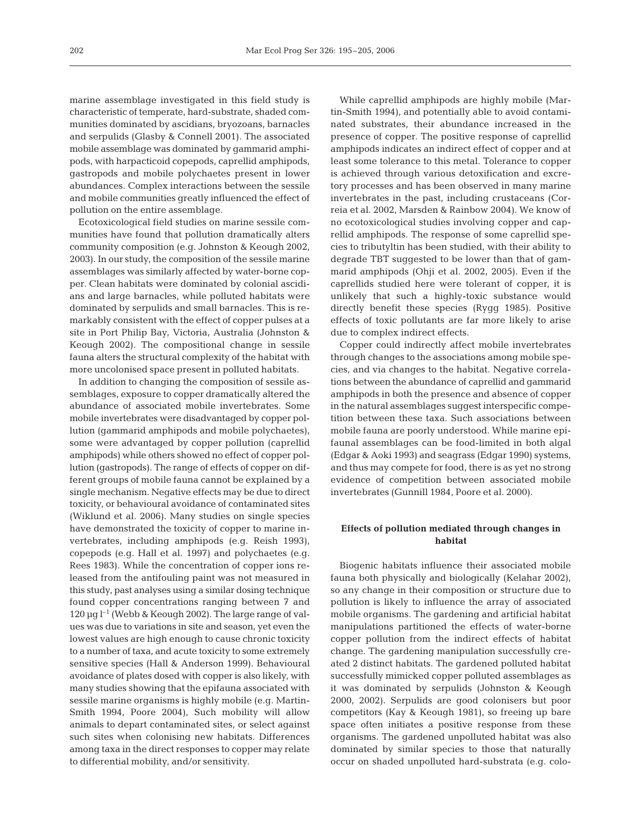marine assemblage investigated in this field study is characteristic of temperate, hard-substrate, shaded communities dominated by ascidians, bryozoans, barnacles and serpulids (Glasby & Connell 2001). The associated mobile assemblage was dominated by gammarid amphipods, with harpacticoid copepods, caprellid amphipods, gastropods and mobile polychaetes present in lower abundances. Complex interactions between the sessile and mobile communities greatly influenced the effect of pollution on the entire assemblage.

Ecotoxicological field studies on marine sessile communities have found that pollution dramatically alters community composition (e.g. Johnston & Keough 2002, 2003). In our study, the composition of the sessile marine assemblages was similarly affected by water-borne copper. Clean habitats were dominated by colonial ascidians and large barnacles, while polluted habitats were dominated by serpulids and small barnacles. This is remarkably consistent with the effect of copper pulses at a site in Port Philip Bay, Victoria, Australia (Johnston & Keough 2002). The compositional change in sessile fauna alters the structural complexity of the habitat with more uncolonised space present in polluted habitats.

In addition to changing the composition of sessile assemblages, exposure to copper dramatically altered the abundance of associated mobile invertebrates. Some mobile invertebrates were disadvantaged by copper pollution (gammarid amphipods and mobile polychaetes), some were advantaged by copper pollution (caprellid amphipods) while others showed no effect of copper pollution (gastropods). The range of effects of copper on different groups of mobile fauna cannot be explained by a single mechanism. Negative effects may be due to direct toxicity, or behavioural avoidance of contaminated sites (Wiklund et al. 2006). Many studies on single species have demonstrated the toxicity of copper to marine invertebrates, including amphipods (e.g. Reish 1993), copepods (e.g. Hall et al. 1997) and polychaetes (e.g. Rees 1983). While the concentration of copper ions released from the antifouling paint was not measured in this study, past analyses using a similar dosing technique found copper concentrations ranging between 7 and  $120 \,\mathrm{\upmu g}\,\mathrm{I}^{-1}$  (Webb & Keough 2002). The large range of values was due to variations in site and season, yet even the lowest values are high enough to cause chronic toxicity to a number of taxa, and acute toxicity to some extremely sensitive species (Hall & Anderson 1999). Behavioural avoidance of plates dosed with copper is also likely, with many studies showing that the epifauna associated with sessile marine organisms is highly mobile (e.g. Martin-Smith 1994, Poore 2004), Such mobility will allow animals to depart contaminated sites, or select against such sites when colonising new habitats. Differences among taxa in the direct responses to copper may relate to differential mobility, and/or sensitivity.

While caprellid amphipods are highly mobile (Martin-Smith 1994), and potentially able to avoid contaminated substrates, their abundance increased in the presence of copper. The positive response of caprellid amphipods indicates an indirect effect of copper and at least some tolerance to this metal. Tolerance to copper is achieved through various detoxification and excretory processes and has been observed in many marine invertebrates in the past, including crustaceans (Correia et al. 2002, Marsden & Rainbow 2004). We know of no ecotoxicological studies involving copper and caprellid amphipods. The response of some caprellid species to tributyltin has been studied, with their ability to degrade TBT suggested to be lower than that of gammarid amphipods (Ohji et al. 2002, 2005). Even if the caprellids studied here were tolerant of copper, it is unlikely that such a highly-toxic substance would directly benefit these species (Rygg 1985). Positive effects of toxic pollutants are far more likely to arise due to complex indirect effects.

Copper could indirectly affect mobile invertebrates through changes to the associations among mobile species, and via changes to the habitat. Negative correlations between the abundance of caprellid and gammarid amphipods in both the presence and absence of copper in the natural assemblages suggest interspecific competition between these taxa. Such associations between mobile fauna are poorly understood. While marine epifaunal assemblages can be food-limited in both algal (Edgar & Aoki 1993) and seagrass (Edgar 1990) systems, and thus may compete for food, there is as yet no strong evidence of competition between associated mobile invertebrates (Gunnill 1984, Poore et al. 2000).

# **Effects of pollution mediated through changes in habitat**

Biogenic habitats influence their associated mobile fauna both physically and biologically (Kelahar 2002), so any change in their composition or structure due to pollution is likely to influence the array of associated mobile organisms. The gardening and artificial habitat manipulations partitioned the effects of water-borne copper pollution from the indirect effects of habitat change. The gardening manipulation successfully created 2 distinct habitats. The gardened polluted habitat successfully mimicked copper polluted assemblages as it was dominated by serpulids (Johnston & Keough 2000, 2002). Serpulids are good colonisers but poor competitors (Kay & Keough 1981), so freeing up bare space often initiates a positive response from these organisms. The gardened unpolluted habitat was also dominated by similar species to those that naturally occur on shaded unpolluted hard-substrata (e.g. colo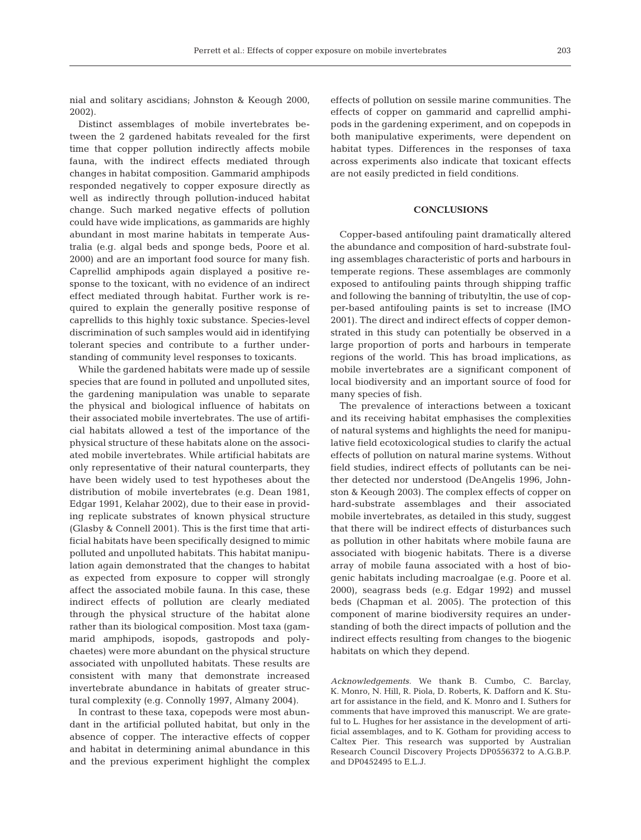nial and solitary ascidians; Johnston & Keough 2000, 2002).

Distinct assemblages of mobile invertebrates between the 2 gardened habitats revealed for the first time that copper pollution indirectly affects mobile fauna, with the indirect effects mediated through changes in habitat composition. Gammarid amphipods responded negatively to copper exposure directly as well as indirectly through pollution-induced habitat change. Such marked negative effects of pollution could have wide implications, as gammarids are highly abundant in most marine habitats in temperate Australia (e.g. algal beds and sponge beds, Poore et al. 2000) and are an important food source for many fish. Caprellid amphipods again displayed a positive response to the toxicant, with no evidence of an indirect effect mediated through habitat. Further work is required to explain the generally positive response of caprellids to this highly toxic substance. Species-level discrimination of such samples would aid in identifying tolerant species and contribute to a further understanding of community level responses to toxicants.

While the gardened habitats were made up of sessile species that are found in polluted and unpolluted sites, the gardening manipulation was unable to separate the physical and biological influence of habitats on their associated mobile invertebrates. The use of artificial habitats allowed a test of the importance of the physical structure of these habitats alone on the associated mobile invertebrates. While artificial habitats are only representative of their natural counterparts, they have been widely used to test hypotheses about the distribution of mobile invertebrates (e.g. Dean 1981, Edgar 1991, Kelahar 2002), due to their ease in providing replicate substrates of known physical structure (Glasby & Connell 2001). This is the first time that artificial habitats have been specifically designed to mimic polluted and unpolluted habitats. This habitat manipulation again demonstrated that the changes to habitat as expected from exposure to copper will strongly affect the associated mobile fauna. In this case, these indirect effects of pollution are clearly mediated through the physical structure of the habitat alone rather than its biological composition. Most taxa (gammarid amphipods, isopods, gastropods and polychaetes) were more abundant on the physical structure associated with unpolluted habitats. These results are consistent with many that demonstrate increased invertebrate abundance in habitats of greater structural complexity (e.g. Connolly 1997, Almany 2004).

In contrast to these taxa, copepods were most abundant in the artificial polluted habitat, but only in the absence of copper. The interactive effects of copper and habitat in determining animal abundance in this and the previous experiment highlight the complex effects of pollution on sessile marine communities. The effects of copper on gammarid and caprellid amphipods in the gardening experiment, and on copepods in both manipulative experiments, were dependent on habitat types. Differences in the responses of taxa across experiments also indicate that toxicant effects are not easily predicted in field conditions.

# **CONCLUSIONS**

Copper-based antifouling paint dramatically altered the abundance and composition of hard-substrate fouling assemblages characteristic of ports and harbours in temperate regions. These assemblages are commonly exposed to antifouling paints through shipping traffic and following the banning of tributyltin, the use of copper-based antifouling paints is set to increase (IMO 2001). The direct and indirect effects of copper demonstrated in this study can potentially be observed in a large proportion of ports and harbours in temperate regions of the world. This has broad implications, as mobile invertebrates are a significant component of local biodiversity and an important source of food for many species of fish.

The prevalence of interactions between a toxicant and its receiving habitat emphasises the complexities of natural systems and highlights the need for manipulative field ecotoxicological studies to clarify the actual effects of pollution on natural marine systems. Without field studies, indirect effects of pollutants can be neither detected nor understood (DeAngelis 1996, Johnston & Keough 2003). The complex effects of copper on hard-substrate assemblages and their associated mobile invertebrates, as detailed in this study, suggest that there will be indirect effects of disturbances such as pollution in other habitats where mobile fauna are associated with biogenic habitats. There is a diverse array of mobile fauna associated with a host of biogenic habitats including macroalgae (e.g. Poore et al. 2000), seagrass beds (e.g. Edgar 1992) and mussel beds (Chapman et al. 2005). The protection of this component of marine biodiversity requires an understanding of both the direct impacts of pollution and the indirect effects resulting from changes to the biogenic habitats on which they depend.

*Acknowledgements.* We thank B. Cumbo, C. Barclay, K. Monro, N. Hill, R. Piola, D. Roberts, K. Dafforn and K. Stuart for assistance in the field, and K. Monro and I. Suthers for comments that have improved this manuscript. We are grateful to L. Hughes for her assistance in the development of artificial assemblages, and to K. Gotham for providing access to Caltex Pier. This research was supported by Australian Research Council Discovery Projects DP0556372 to A.G.B.P. and DP0452495 to E.L.J.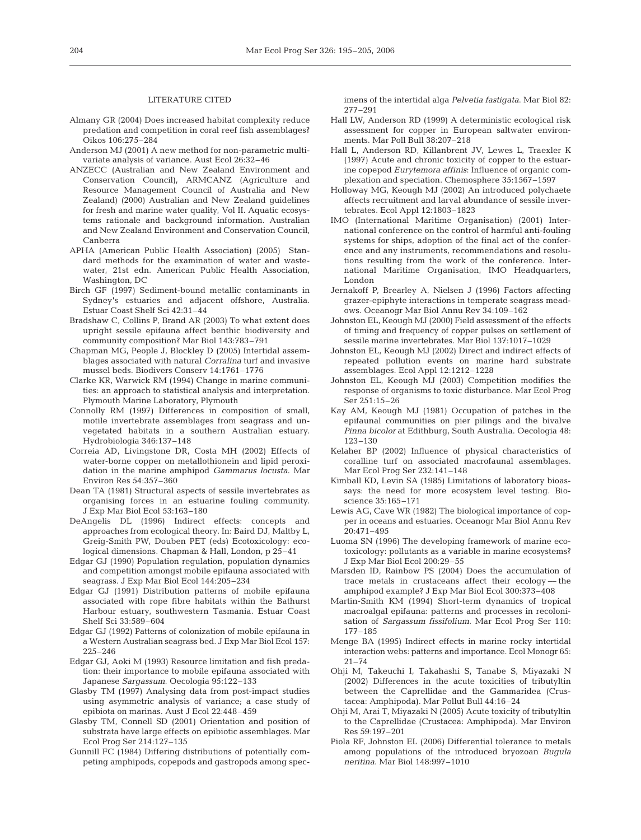### LITERATURE CITED

- Almany GR (2004) Does increased habitat complexity reduce predation and competition in coral reef fish assemblages? Oikos 106:275–284
- Anderson MJ (2001) A new method for non-parametric multivariate analysis of variance. Aust Ecol 26:32–46
- ANZECC (Australian and New Zealand Environment and Conservation Council), ARMCANZ (Agriculture and Resource Management Council of Australia and New Zealand) (2000) Australian and New Zealand guidelines for fresh and marine water quality, Vol II. Aquatic ecosystems rationale and background information. Australian and New Zealand Environment and Conservation Council, Canberra
- APHA (American Public Health Association) (2005) Standard methods for the examination of water and wastewater, 21st edn. American Public Health Association, Washington, DC
- Birch GF (1997) Sediment-bound metallic contaminants in Sydney's estuaries and adjacent offshore, Australia. Estuar Coast Shelf Sci 42:31–44
- Bradshaw C, Collins P, Brand AR (2003) To what extent does upright sessile epifauna affect benthic biodiversity and community composition? Mar Biol 143:783–791
- Chapman MG, People J, Blockley D (2005) Intertidal assemblages associated with natural *Corralina* turf and invasive mussel beds. Biodivers Conserv 14:1761–1776
- Clarke KR, Warwick RM (1994) Change in marine communities: an approach to statistical analysis and interpretation. Plymouth Marine Laboratory, Plymouth
- Connolly RM (1997) Differences in composition of small, motile invertebrate assemblages from seagrass and unvegetated habitats in a southern Australian estuary. Hydrobiologia 346:137–148
- Correia AD, Livingstone DR, Costa MH (2002) Effects of water-borne copper on metallothionein and lipid peroxidation in the marine amphipod *Gammarus locusta*. Mar Environ Res 54:357–360
- Dean TA (1981) Structural aspects of sessile invertebrates as organising forces in an estuarine fouling community. J Exp Mar Biol Ecol 53:163–180
- DeAngelis DL (1996) Indirect effects: concepts and approaches from ecological theory. In: Baird DJ, Maltby L, Greig-Smith PW, Douben PET (eds) Ecotoxicology: ecological dimensions. Chapman & Hall, London, p 25–41
- Edgar GJ (1990) Population regulation, population dynamics and competition amongst mobile epifauna associated with seagrass. J Exp Mar Biol Ecol 144:205–234
- Edgar GJ (1991) Distribution patterns of mobile epifauna associated with rope fibre habitats within the Bathurst Harbour estuary, southwestern Tasmania. Estuar Coast Shelf Sci 33:589–604
- Edgar GJ (1992) Patterns of colonization of mobile epifauna in a Western Australian seagrass bed. J Exp Mar Biol Ecol 157: 225–246
- Edgar GJ, Aoki M (1993) Resource limitation and fish predation: their importance to mobile epifauna associated with Japanese *Sargassum*. Oecologia 95:122–133
- Glasby TM (1997) Analysing data from post-impact studies using asymmetric analysis of variance; a case study of epibiota on marinas. Aust J Ecol 22:448–459
- Glasby TM, Connell SD (2001) Orientation and position of substrata have large effects on epibiotic assemblages. Mar Ecol Prog Ser 214:127–135
- Gunnill FC (1984) Differing distributions of potentially competing amphipods, copepods and gastropods among spec-

imens of the intertidal alga *Pelvetia fastigata*. Mar Biol 82: 277–291

- Hall LW, Anderson RD (1999) A deterministic ecological risk assessment for copper in European saltwater environments. Mar Poll Bull 38:207–218
- Hall L, Anderson RD, Killanbrent JV, Lewes L, Traexler K (1997) Acute and chronic toxicity of copper to the estuarine copepod *Eurytemora affinis*: Influence of organic complexation and speciation. Chemosphere 35:1567–1597
- Holloway MG, Keough MJ (2002) An introduced polychaete affects recruitment and larval abundance of sessile invertebrates. Ecol Appl 12:1803–1823
- IMO (International Maritime Organisation) (2001) International conference on the control of harmful anti-fouling systems for ships, adoption of the final act of the conference and any instruments, recommendations and resolutions resulting from the work of the conference. International Maritime Organisation, IMO Headquarters, London
- Jernakoff P, Brearley A, Nielsen J (1996) Factors affecting grazer-epiphyte interactions in temperate seagrass meadows. Oceanogr Mar Biol Annu Rev 34:109–162
- Johnston EL, Keough MJ (2000) Field assessment of the effects of timing and frequency of copper pulses on settlement of sessile marine invertebrates. Mar Biol 137:1017–1029
- Johnston EL, Keough MJ (2002) Direct and indirect effects of repeated pollution events on marine hard substrate assemblages. Ecol Appl 12:1212–1228
- Johnston EL, Keough MJ (2003) Competition modifies the response of organisms to toxic disturbance. Mar Ecol Prog Ser 251:15–26
- Kay AM, Keough MJ (1981) Occupation of patches in the epifaunal communities on pier pilings and the bivalve *Pinna bicolor* at Edithburg, South Australia. Oecologia 48: 123–130
- Kelaher BP (2002) Influence of physical characteristics of coralline turf on associated macrofaunal assemblages. Mar Ecol Prog Ser 232:141–148
- Kimball KD, Levin SA (1985) Limitations of laboratory bioassays: the need for more ecosystem level testing. Bioscience 35:165–171
- Lewis AG, Cave WR (1982) The biological importance of copper in oceans and estuaries. Oceanogr Mar Biol Annu Rev 20:471–495
- Luoma SN (1996) The developing framework of marine ecotoxicology: pollutants as a variable in marine ecosystems? J Exp Mar Biol Ecol 200:29–55
- Marsden ID, Rainbow PS (2004) Does the accumulation of trace metals in crustaceans affect their ecology -- the amphipod example? J Exp Mar Biol Ecol 300:373–408
- Martin-Smith KM (1994) Short-term dynamics of tropical macroalgal epifauna: patterns and processes in recolonisation of *Sargassum fissifolium*. Mar Ecol Prog Ser 110: 177–185
- Menge BA (1995) Indirect effects in marine rocky intertidal interaction webs: patterns and importance. Ecol Monogr 65: 21–74
- Ohji M, Takeuchi I, Takahashi S, Tanabe S, Miyazaki N (2002) Differences in the acute toxicities of tributyltin between the Caprellidae and the Gammaridea (Crustacea: Amphipoda). Mar Pollut Bull 44:16–24
- Ohji M, Arai T, Miyazaki N (2005) Acute toxicity of tributyltin to the Caprellidae (Crustacea: Amphipoda). Mar Environ Res 59:197–201
- Piola RF, Johnston EL (2006) Differential tolerance to metals among populations of the introduced bryozoan *Bugula neritina*. Mar Biol 148:997–1010